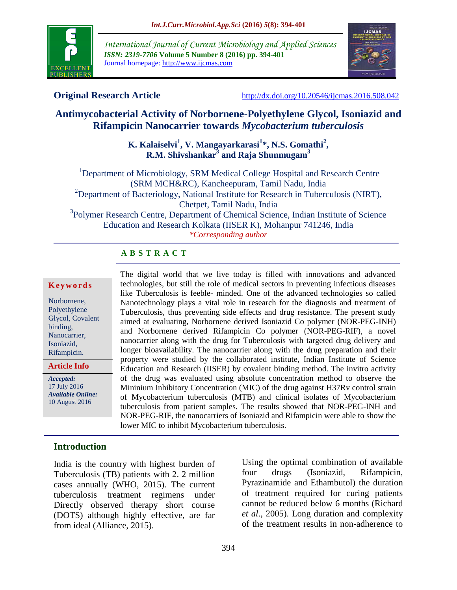

*International Journal of Current Microbiology and Applied Sciences ISSN: 2319-7706* **Volume 5 Number 8 (2016) pp. 394-401** Journal homepage: http://www.ijcmas.com



**Original Research Article** <http://dx.doi.org/10.20546/ijcmas.2016.508.042>

# **Antimycobacterial Activity of Norbornene-Polyethylene Glycol, Isoniazid and Rifampicin Nanocarrier towards** *Mycobacterium tuberculosis*

## **K. Kalaiselvi<sup>1</sup> , V. Mangayarkarasi<sup>1</sup> \*, N.S. Gomathi<sup>2</sup> , R.M. Shivshankar<sup>3</sup> and Raja Shunmugam<sup>3</sup>**

<sup>1</sup>Department of Microbiology, SRM Medical College Hospital and Research Centre (SRM MCH&RC), Kancheepuram, Tamil Nadu, India <sup>2</sup>Department of Bacteriology, National Institute for Research in Tuberculosis (NIRT), Chetpet, Tamil Nadu, India <sup>3</sup>Polymer Research Centre, Department of Chemical Science, Indian Institute of Science Education and Research Kolkata (IISER K), Mohanpur 741246, India *\*Corresponding author*

# **A B S T R A C T**

#### **K e y w o r d s**

Norbornene, Polyethylene Glycol, Covalent binding, Nanocarrier, Isoniazid, Rifampicin.

**Article Info**

*Accepted:*  17 July 2016 *Available Online:* 10 August 2016

The digital world that we live today is filled with innovations and advanced technologies, but still the role of medical sectors in preventing infectious diseases like Tuberculosis is feeble- minded. One of the advanced technologies so called Nanotechnology plays a vital role in research for the diagnosis and treatment of Tuberculosis, thus preventing side effects and drug resistance. The present study aimed at evaluating, Norbornene derived Isoniazid Co polymer (NOR-PEG-INH) and Norbornene derived Rifampicin Co polymer (NOR-PEG-RIF), a novel nanocarrier along with the drug for Tuberculosis with targeted drug delivery and longer bioavailability. The nanocarrier along with the drug preparation and their property were studied by the collaborated institute, Indian Institute of Science Education and Research (IISER) by covalent binding method. The invitro activity of the drug was evaluated using absolute concentration method to observe the Mininium Inhibitory Concentration (MIC) of the drug against H37Rv control strain of Mycobacterium tuberculosis (MTB) and clinical isolates of Mycobacterium tuberculosis from patient samples. The results showed that NOR-PEG-INH and NOR-PEG-RIF, the nanocarriers of Isoniazid and Rifampicin were able to show the lower MIC to inhibit Mycobacterium tuberculosis.

# **Introduction**

India is the country with highest burden of Tuberculosis (TB) patients with 2. 2 million cases annually (WHO, 2015). The current tuberculosis treatment regimens under Directly observed therapy short course (DOTS) although highly effective, are far from ideal (Alliance, 2015).

Using the optimal combination of available four drugs (Isoniazid, Rifampicin, Pyrazinamide and Ethambutol) the duration of treatment required for curing patients cannot be reduced below 6 months (Richard *et al*., 2005). Long duration and complexity of the treatment results in non-adherence to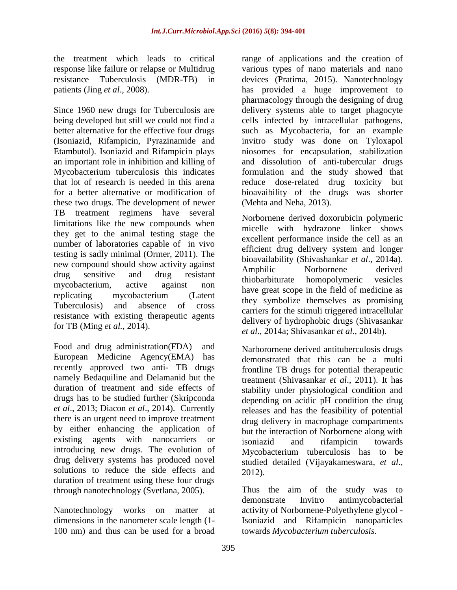the treatment which leads to critical response like failure or relapse or Multidrug resistance Tuberculosis (MDR-TB) in patients (Jing *et al*., 2008).

Since 1960 new drugs for Tuberculosis are being developed but still we could not find a better alternative for the effective four drugs (Isoniazid, Rifampicin, Pyrazinamide and Etambutol). Isoniazid and Rifampicin plays an important role in inhibition and killing of Mycobacterium tuberculosis this indicates that lot of research is needed in this arena for a better alternative or modification of these two drugs. The development of newer TB treatment regimens have several limitations like the new compounds when they get to the animal testing stage the number of laboratories capable of in vivo testing is sadly minimal (Ormer, 2011). The new compound should show activity against drug sensitive and drug resistant mycobacterium, active against non replicating mycobacterium (Latent Tuberculosis) and absence of cross resistance with existing therapeutic agents for TB (Ming *et al.,* 2014).

Food and drug administration(FDA) and European Medicine Agency(EMA) has recently approved two anti- TB drugs namely Bedaquiline and Delamanid but the duration of treatment and side effects of drugs has to be studied further (Skripconda *et al*., 2013; Diacon *et al*., 2014). Currently there is an urgent need to improve treatment by either enhancing the application of existing agents with nanocarriers or introducing new drugs. The evolution of drug delivery systems has produced novel solutions to reduce the side effects and duration of treatment using these four drugs through nanotechnology (Svetlana, 2005).

Nanotechnology works on matter at dimensions in the nanometer scale length (1- 100 nm) and thus can be used for a broad

range of applications and the creation of various types of nano materials and nano devices (Pratima, 2015). Nanotechnology has provided a huge improvement to pharmacology through the designing of drug delivery systems able to target phagocyte cells infected by intracellular pathogens, such as Mycobacteria, for an example invitro study was done on Tyloxapol niosomes for encapsulation, stabilization and dissolution of anti-tubercular drugs formulation and the study showed that reduce dose-related drug toxicity but bioavaibility of the drugs was shorter (Mehta and Neha, 2013).

Norbornene derived doxorubicin polymeric micelle with hydrazone linker shows excellent performance inside the cell as an efficient drug delivery system and longer bioavailability (Shivashankar *et al*., 2014a). Amphilic Norbornene derived thiobarbiturate homopolymeric vesicles have great scope in the field of medicine as they symbolize themselves as promising carriers for the stimuli triggered intracellular delivery of hydrophobic drugs (Shivasankar *et al*., 2014a; Shivasankar *et al*., 2014b).

Narborornene derived antituberculosis drugs demonstrated that this can be a multi frontline TB drugs for potential therapeutic treatment (Shivasankar *et al*., 2011). It has stability under physiological condition and depending on acidic pH condition the drug releases and has the feasibility of potential drug delivery in macrophage compartments but the interaction of Norbornene along with isoniazid and rifampicin towards Mycobacterium tuberculosis has to be studied detailed (Vijayakameswara, *et al*., 2012).

Thus the aim of the study was to demonstrate Invitro antimycobacterial activity of Norbornene-Polyethylene glycol - Isoniazid and Rifampicin nanoparticles towards *Mycobacterium tuberculosis*.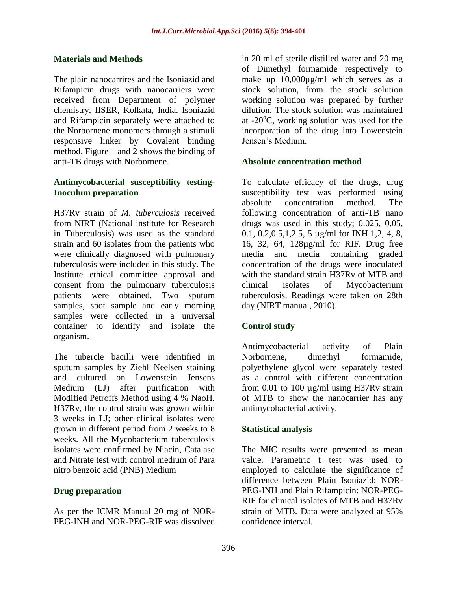#### **Materials and Methods**

The plain nanocarrires and the Isoniazid and Rifampicin drugs with nanocarriers were received from Department of polymer chemistry, IISER, Kolkata, India. Isoniazid and Rifampicin separately were attached to the Norbornene monomers through a stimuli responsive linker by Covalent binding method. Figure 1 and 2 shows the binding of anti-TB drugs with Norbornene.

#### **Antimycobacterial susceptibility testing-Inoculum preparation**

H37Rv strain of *M. tuberculosis* received from NIRT (National institute for Research in Tuberculosis) was used as the standard strain and 60 isolates from the patients who were clinically diagnosed with pulmonary tuberculosis were included in this study. The Institute ethical committee approval and consent from the pulmonary tuberculosis patients were obtained. Two sputum samples, spot sample and early morning samples were collected in a universal container to identify and isolate the organism.

The tubercle bacilli were identified in sputum samples by Ziehl–Neelsen staining and cultured on Lowenstein Jensens Medium (LJ) after purification with Modified Petroffs Method using 4 % NaoH. H37Rv, the control strain was grown within 3 weeks in LJ; other clinical isolates were grown in different period from 2 weeks to 8 weeks. All the Mycobacterium tuberculosis isolates were confirmed by Niacin, Catalase and Nitrate test with control medium of Para nitro benzoic acid (PNB) Medium

## **Drug preparation**

As per the ICMR Manual 20 mg of NOR-PEG-INH and NOR-PEG-RIF was dissolved in 20 ml of sterile distilled water and 20 mg of Dimethyl formamide respectively to make up 10,000µg/ml which serves as a stock solution, from the stock solution working solution was prepared by further dilution. The stock solution was maintained at  $-20^{\circ}$ C, working solution was used for the incorporation of the drug into Lowenstein Jensen's Medium.

#### **Absolute concentration method**

To calculate efficacy of the drugs, drug susceptibility test was performed using absolute concentration method. The following concentration of anti-TB nano drugs was used in this study; 0.025, 0.05, 0.1, 0.2,0.5,1,2.5, 5 µg/ml for INH 1,2, 4, 8, 16, 32, 64, 128µg/ml for RIF. Drug free media and media containing graded concentration of the drugs were inoculated with the standard strain H37Rv of MTB and clinical isolates of Mycobacterium tuberculosis. Readings were taken on 28th day (NIRT manual, 2010).

## **Control study**

Antimycobacterial activity of Plain Norbornene, dimethyl formamide, polyethylene glycol were separately tested as a control with different concentration from 0.01 to 100  $\mu$ g/ml using H37Rv strain of MTB to show the nanocarrier has any antimycobacterial activity.

## **Statistical analysis**

The MIC results were presented as mean value. Parametric t test was used to employed to calculate the significance of difference between Plain Isoniazid: NOR-PEG-INH and Plain Rifampicin: NOR-PEG-RIF for clinical isolates of MTB and H37Rv strain of MTB. Data were analyzed at 95% confidence interval.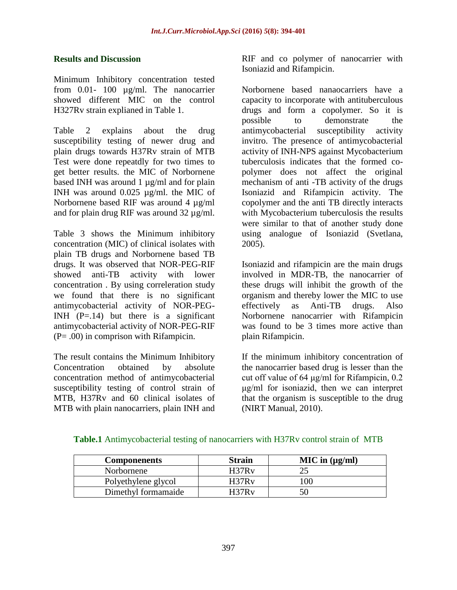#### **Results and Discussion**

Minimum Inhibitory concentration tested from 0.01- 100 µg/ml. The nanocarrier showed different MIC on the control H327Rv strain explianed in Table 1.

Table 2 explains about the drug susceptibility testing of newer drug and plain drugs towards H37Rv strain of MTB Test were done repeatdly for two times to get better results. the MIC of Norbornene based INH was around 1 µg/ml and for plain INH was around 0.025 µg/ml. the MIC of Norbornene based RIF was around 4 µg/ml and for plain drug RIF was around 32 µg/ml.

Table 3 shows the Minimum inhibitory concentration (MIC) of clinical isolates with plain TB drugs and Norbornene based TB drugs. It was observed that NOR-PEG-RIF showed anti-TB activity with lower concentration . By using correleration study we found that there is no significant antimycobacterial activity of NOR-PEG-INH  $(P=.14)$  but there is a significant antimycobacterial activity of NOR-PEG-RIF (P= .00) in comprison with Rifampicin.

The result contains the Minimum Inhibitory Concentration obtained by absolute concentration method of antimycobacterial susceptibility testing of control strain of MTB, H37Rv and 60 clinical isolates of MTB with plain nanocarriers, plain INH and

RIF and co polymer of nanocarrier with Isoniazid and Rifampicin.

Norbornene based nanaocarriers have a capacity to incorporate with antituberculous drugs and form a copolymer. So it is possible to demonstrate the antimycobacterial susceptibility activity invitro. The presence of antimycobacterial activity of INH-NPS against Mycobacterium tuberculosis indicates that the formed copolymer does not affect the original mechanism of anti -TB activity of the drugs Isoniazid and Rifampicin activity. The copolymer and the anti TB directly interacts with Mycobacterium tuberculosis the results were similar to that of another study done using analogue of Isoniazid (Svetlana, 2005).

Isoniazid and rifampicin are the main drugs involved in MDR-TB, the nanocarrier of these drugs will inhibit the growth of the organism and thereby lower the MIC to use effectively as Anti-TB drugs. Also Norbornene nanocarrier with Rifampicin was found to be 3 times more active than plain Rifampicin.

If the minimum inhibitory concentration of the nanocarrier based drug is lesser than the cut off value of 64 μg/ml for Rifampicin, 0.2 μg/ml for isoniazid, then we can interpret that the organism is susceptible to the drug (NIRT Manual, 2010).

| <b>Componenents</b> | <b>Strain</b> | $MIC$ in $(\mu g/ml)$ |
|---------------------|---------------|-----------------------|
| Norbornene          | H37Rv         |                       |
| Polyethylene glycol | H37Rv         | l 00                  |
| Dimethyl formamaide | H37Rv         |                       |

**Table.1** Antimycobacterial testing of nanocarriers with H37Rv control strain of MTB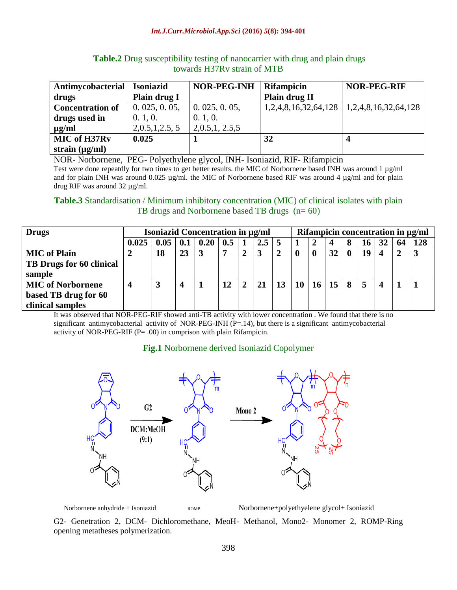| Antimycobacterial       | <b>Isoniazid</b> | NOR-PEG-INH   | <b>Rifampicin</b> | <b>NOR-PEG-RIF</b>                              |  |  |
|-------------------------|------------------|---------------|-------------------|-------------------------------------------------|--|--|
| drugs                   | Plain drug I     |               | Plain drug II     |                                                 |  |  |
| <b>Concentration of</b> | 0.025, 0.05,     | 0.025, 0.05,  |                   | $1,2,4,8,16,32,64,128$   $1,2,4,8,16,32,64,128$ |  |  |
| drugs used in           | 0.1, 0.          | 0.1, 0.       |                   |                                                 |  |  |
| $\mu$ g/ml              | 2,0.5,1,2.5,5    | 2,0.5,1,2.5,5 |                   |                                                 |  |  |
| MIC of H37Rv            | 0.025            |               | 32                |                                                 |  |  |
| strain $(\mu g/ml)$     |                  |               |                   |                                                 |  |  |

**Table.2** Drug susceptibility testing of nanocarrier with drug and plain drugs towards H37Rv strain of MTB

NOR- Norbornene, PEG- Polyethylene glycol, INH- Isoniazid, RIF- Rifampicin Test were done repeatdly for two times to get better results. the MIC of Norbornene based INH was around 1 µg/ml and for plain INH was around 0.025  $\mu$ g/ml. the MIC of Norbornene based RIF was around 4  $\mu$ g/ml and for plain drug RIF was around 32 µg/ml.

#### **Table.3** Standardisation / Minimum inhibitory concentration (MIC) of clinical isolates with plain TB drugs and Norbornene based TB drugs (n= 60)

| <b>Drugs</b>                    | <b>Isoniazid Concentration in µg/ml</b> |      |     |      |     |                | Rifampicin concentration in µg/ml |    |    |    |    |   |    |  |    |     |
|---------------------------------|-----------------------------------------|------|-----|------|-----|----------------|-----------------------------------|----|----|----|----|---|----|--|----|-----|
|                                 | 0.025                                   | 0.05 | 0.1 | 0.20 | 0.5 |                | 2.5                               |    |    |    |    |   | 16 |  | 64 | 128 |
| <b>MIC</b> of Plain             |                                         | 18   | 23  | 3    | 7   | $\overline{2}$ |                                   |    |    |    | 32 |   | 19 |  | 2  |     |
| <b>TB Drugs for 60 clinical</b> |                                         |      |     |      |     |                |                                   |    |    |    |    |   |    |  |    |     |
| sample                          |                                         |      |     |      |     |                |                                   |    |    |    |    |   |    |  |    |     |
| <b>MIC of Norbornene</b>        | 4                                       | 3    |     |      |     | $\overline{2}$ |                                   | 13 | 10 | 16 | 15 | 8 |    |  |    |     |
| based TB drug for 60            |                                         |      |     |      |     |                |                                   |    |    |    |    |   |    |  |    |     |
| clinical samples                |                                         |      |     |      |     |                |                                   |    |    |    |    |   |    |  |    |     |

It was observed that NOR-PEG-RIF showed anti-TB activity with lower concentration . We found that there is no significant antimycobacterial activity of NOR-PEG-INH  $(P=.14)$ , but there is a significant antimycobacterial activity of NOR-PEG-RIF (P= .00) in comprison with plain Rifampicin.

# **Fig.1** Norbornene derived Isoniazid Copolymer



Norbornene anhydride + Isoniazid ROMP ROMP Norbornene+polyethyelene glycol+ Isoniazid

G2- Genetration 2, DCM- Dichloromethane, MeoH- Methanol, Mono2- Monomer 2, ROMP-Ring opening metatheses polymerization.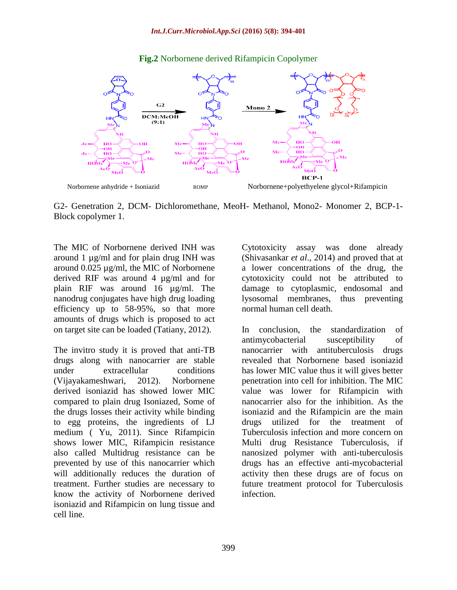

#### **Fig.2** Norbornene derived Rifampicin Copolymer

G2- Genetration 2, DCM- Dichloromethane, MeoH- Methanol, Mono2- Monomer 2, BCP-1- Block copolymer 1.

The MIC of Norbornene derived INH was around 1 µg/ml and for plain drug INH was around 0.025 µg/ml, the MIC of Norbornene derived RIF was around 4 µg/ml and for plain RIF was around 16 µg/ml. The nanodrug conjugates have high drug loading efficiency up to 58-95%, so that more amounts of drugs which is proposed to act on target site can be loaded (Tatiany, 2012).

The invitro study it is proved that anti-TB drugs along with nanocarrier are stable under extracellular conditions (Vijayakameshwari, 2012). Norbornene derived isoniazid has showed lower MIC compared to plain drug Isoniazed, Some of the drugs losses their activity while binding to egg proteins, the ingredients of LJ medium ( Yu, 2011). Since Rifampicin shows lower MIC, Rifampicin resistance also called Multidrug resistance can be prevented by use of this nanocarrier which will additionally reduces the duration of treatment. Further studies are necessary to know the activity of Norbornene derived isoniazid and Rifampicin on lung tissue and cell line.

Cytotoxicity assay was done already (Shivasankar *et al*., 2014) and proved that at a lower concentrations of the drug, the cytotoxicity could not be attributed to damage to cytoplasmic, endosomal and lysosomal membranes, thus preventing normal human cell death.

In conclusion, the standardization of antimycobacterial susceptibility of nanocarrier with antituberculosis drugs revealed that Norbornene based isoniazid has lower MIC value thus it will gives better penetration into cell for inhibition. The MIC value was lower for Rifampicin with nanocarrier also for the inhibition. As the isoniazid and the Rifampicin are the main drugs utilized for the treatment of Tuberculosis infection and more concern on Multi drug Resistance Tuberculosis, if nanosized polymer with anti-tuberculosis drugs has an effective anti-mycobacterial activity then these drugs are of focus on future treatment protocol for Tuberculosis infection.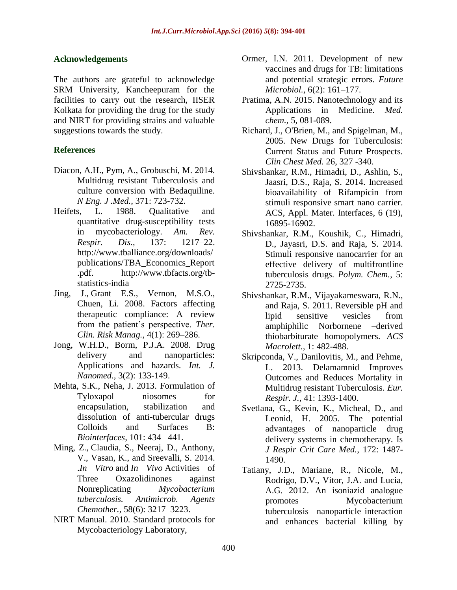#### **Acknowledgements**

The authors are grateful to acknowledge SRM University, Kancheepuram for the facilities to carry out the research, IISER Kolkata for providing the drug for the study and NIRT for providing strains and valuable suggestions towards the study.

## **References**

- Diacon, A.H., Pym, A., Grobuschi, M. 2014. Multidrug resistant Tuberculosis and culture conversion with Bedaquiline. *N Eng. J .Med.,* 371: 723-732.
- Heifets, L. 1988. Qualitative and quantitative drug-susceptibility tests in mycobacteriology. *Am. Rev. Respir. Dis.,* 137: 1217–22. [http://www.tballiance.org/downloads/](http://www.tballiance.org/downloads/publications/TBA_Economics_Report.pdf) [publications/TBA\\_Economics\\_Report](http://www.tballiance.org/downloads/publications/TBA_Economics_Report.pdf) [.pdf.](http://www.tballiance.org/downloads/publications/TBA_Economics_Report.pdf) [http://www.tbfacts.org/tb](http://www.tbfacts.org/tb-statistics-india)[statistics-india](http://www.tbfacts.org/tb-statistics-india)
- Jing, J., Grant E.S., Vernon, M.S.O., [Chuen, Li.](http://www.ncbi.nlm.nih.gov/pubmed/?term=Chuen%20Li%20S%5Bauth%5D) 2008. Factors affecting therapeutic compliance: A review from the patient's perspective. *Ther. Clin. Risk Manag.*, 4(1): 269–286.
- Jong, W.H.D., Borm, P.J.A. 2008. Drug delivery and nanoparticles: Applications and hazards. *Int. J. Nanomed.,* 3(2): 133-149.
- Mehta, S.K., Neha, J. 2013. Formulation of Tyloxapol niosomes for encapsulation, stabilization and dissolution of anti-tubercular drugs Colloids and Surfaces B: *Biointerfaces,* 101: 434– 441.
- Ming, Z., Claudia, S., Neeraj, D., Anthony, V., Vasan, K., and Sreevalli, S. 2014. .*In Vitro* and *In Vivo* Activities of Three Oxazolidinones against Nonreplicating *Mycobacterium tuberculosis. Antimicrob. Agents Chemother.*, 58(6): 3217–3223.
- NIRT Manual. 2010. Standard protocols for Mycobacteriology Laboratory,
- Ormer, I.N. 2011. Development of new vaccines and drugs for TB: limitations and potential strategic errors. *[Future](http://www.ncbi.nlm.nih.gov/entrez/eutils/elink.fcgi?dbfrom=pubmed&retmode=ref&cmd=prlinks&id=21366417)  [Microbiol.,](http://www.ncbi.nlm.nih.gov/entrez/eutils/elink.fcgi?dbfrom=pubmed&retmode=ref&cmd=prlinks&id=21366417)* 6(2): 161–177.
- Pratima, A.N. 2015. Nanotechnology and its Applications in Medicine. *Med. chem.,* 5, 081-089.
- Richard, J., O'Brien, M., and Spigelman, M., 2005. New Drugs for Tuberculosis: Current Status and Future Prospects. *Clin Chest Med.* 26, 327 -340.
- Shivshankar, R.M., Himadri, D., Ashlin, S., Jaasri, D.S., Raja, S. 2014. Increased bioavailability of Rifampicin from stimuli responsive smart nano carrier. ACS, Appl. Mater. Interfaces, 6 (19), 16895-16902.
- Shivshankar, R.M., Koushik, C., Himadri, D., Jayasri, D.S. and Raja, S. 2014. Stimuli responsive nanocarrier for an effective delivery of multifrontline tuberculosis drugs. *Polym. Chem.,* 5: 2725-2735.
- Shivshankar, R.M., Vijayakameswara, R.N., and Raja, S. 2011. Reversible pH and lipid sensitive vesicles from amphiphilic Norbornene –derived thiobarbiturate homopolymers. *ACS Macrolett.,* 1: 482-488.
- Skripconda, V., Danilovitis, M., and Pehme, L. 2013. Delamamnid Improves Outcomes and Reduces Mortality in Multidrug resistant Tuberculosis. *Eur. Respir. J.*, 41: 1393-1400.
- Svetlana, G., Kevin, K., Micheal, D., and Leonid, H. 2005. The potential advantages of nanoparticle drug delivery systems in chemotherapy. Is *J Respir Crit Care Med.*, 172: 1487- 1490.
- Tatiany, J.D., Mariane, R., Nicole, M., Rodrigo, D.V., Vitor, J.A. and Lucia, A.G. 2012. An isoniazid analogue promotes Mycobacterium tuberculosis –nanoparticle interaction and enhances bacterial killing by